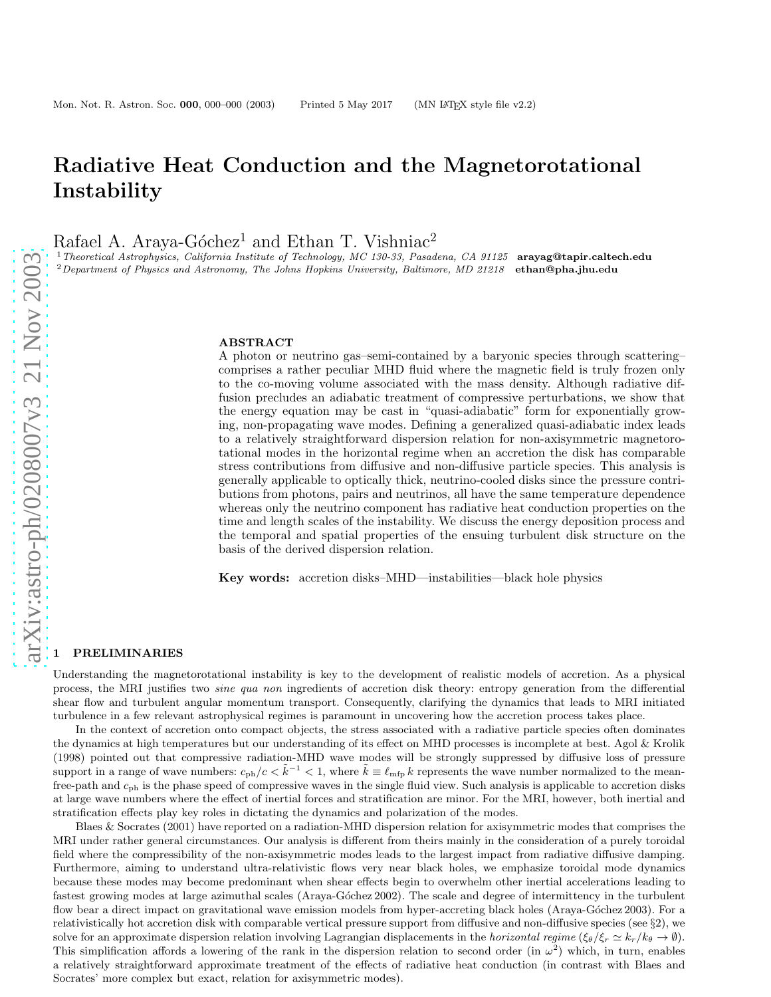# Radiative Heat Conduction and the Magnetorotational **Instability**

Rafael A. Araya-Góchez<sup>1</sup> and Ethan T. Vishniac<sup>2</sup>

<sup>1</sup> Theoretical Astrophysics, California Institute of Technology, MC 130-33, Pasadena, CA 91125 arayag@tapir.caltech.edu  $2$ Department of Physics and Astronomy, The Johns Hopkins University, Baltimore, MD 21218 ethan@pha.jhu.edu

#### ABSTRACT

A photon or neutrino gas–semi-contained by a baryonic species through scattering– comprises a rather peculiar MHD fluid where the magnetic field is truly frozen only to the co-moving volume associated with the mass density. Although radiative diffusion precludes an adiabatic treatment of compressive perturbations, we show that the energy equation may be cast in "quasi-adiabatic" form for exponentially growing, non-propagating wave modes. Defining a generalized quasi-adiabatic index leads to a relatively straightforward dispersion relation for non-axisymmetric magnetorotational modes in the horizontal regime when an accretion the disk has comparable stress contributions from diffusive and non-diffusive particle species. This analysis is generally applicable to optically thick, neutrino-cooled disks since the pressure contributions from photons, pairs and neutrinos, all have the same temperature dependence whereas only the neutrino component has radiative heat conduction properties on the time and length scales of the instability. We discuss the energy deposition process and the temporal and spatial properties of the ensuing turbulent disk structure on the basis of the derived dispersion relation.

Key words: accretion disks–MHD—instabilities—black hole physics

## **PRELIMINARIES**

Understanding the magnetorotational instability is key to the development of realistic models of accretion. As a physical process, the MRI justifies two sine qua non ingredients of accretion disk theory: entropy generation from the differential shear flow and turbulent angular momentum transport. Consequently, clarifying the dynamics that leads to MRI initiated turbulence in a few relevant astrophysical regimes is paramount in uncovering how the accretion process takes place.

In the context of accretion onto compact objects, the stress associated with a radiative particle species often dominates the dynamics at high temperatures but our understanding of its effect on MHD processes is incomplete at best. Agol & Krolik (1998) pointed out that compressive radiation-MHD wave modes will be strongly suppressed by diffusive loss of pressure support in a range of wave numbers:  $c_{ph}/c < \tilde{k}^{-1} < 1$ , where  $\tilde{k} \equiv \ell_{mfp} k$  represents the wave number normalized to the meanfree-path and  $c_{ph}$  is the phase speed of compressive waves in the single fluid view. Such analysis is applicable to accretion disks at large wave numbers where the effect of inertial forces and stratification are minor. For the MRI, however, both inertial and stratification effects play key roles in dictating the dynamics and polarization of the modes.

Blaes & Socrates (2001) have reported on a radiation-MHD dispersion relation for axisymmetric modes that comprises the MRI under rather general circumstances. Our analysis is different from theirs mainly in the consideration of a purely toroidal field where the compressibility of the non-axisymmetric modes leads to the largest impact from radiative diffusive damping. Furthermore, aiming to understand ultra-relativistic flows very near black holes, we emphasize toroidal mode dynamics because these modes may become predominant when shear effects begin to overwhelm other inertial accelerations leading t o fastest growing modes at large azimuthal scales (Araya-Góchez 2002). The scale and degree of intermittency in the turbulent flow bear a direct impact on gravitational wave emission models from hyper-accreting black holes (Araya-Góchez 2003). For a relativistically hot accretion disk with comparable vertical pressure support from diffusive and non-diffusive species (see §2), we solve for an approximate dispersion relation involving Lagrangian displacements in the *horizontal regime* ( $\xi_{\theta}/\xi_r \simeq k_r/k_{\theta} \to \emptyset$ ). This simplification affords a lowering of the rank in the dispersion relation to second order (in  $\omega^2$ ) which, in turn, enables a relatively straightforward approximate treatment of the effects of radiative heat conduction (in contrast with Blaes and Socrates' more complex but exact, relation for axisymmetric modes).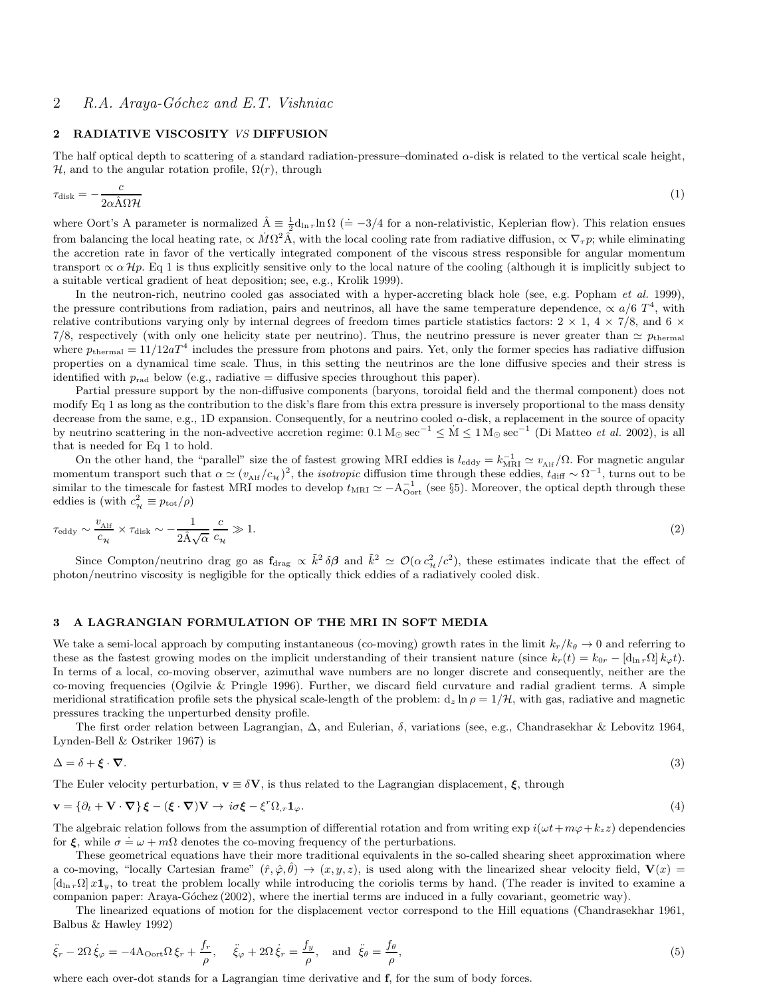# 2 RADIATIVE VISCOSITY VS DIFFUSION

The half optical depth to scattering of a standard radiation-pressure–dominated  $\alpha$ -disk is related to the vertical scale height, H, and to the angular rotation profile,  $\Omega(r)$ , through

$$
\tau_{\text{disk}} = -\frac{c}{2\alpha \hat{\Lambda} \Omega \mathcal{H}} \tag{1}
$$

where Oort's A parameter is normalized  $\hat{A} \equiv \frac{1}{2} d_{\ln r} \ln \Omega$  (= -3/4 for a non-relativistic, Keplerian flow). This relation ensues from balancing the local heating rate,  $\propto \dot{M}\Omega^2 \hat{A}$ , with the local cooling rate from radiative diffusion,  $\propto \nabla_\tau p$ ; while eliminating the accretion rate in favor of the vertically integrated component of the viscous stress responsible for angular momentum transport  $\propto \alpha Hp$ . Eq 1 is thus explicitly sensitive only to the local nature of the cooling (although it is implicitly subject to a suitable vertical gradient of heat deposition; see, e.g., Krolik 1999).

In the neutron-rich, neutrino cooled gas associated with a hyper-accreting black hole (see, e.g. Popham et al. 1999), the pressure contributions from radiation, pairs and neutrinos, all have the same temperature dependence,  $\propto a/6$  T<sup>4</sup>, with relative contributions varying only by internal degrees of freedom times particle statistics factors:  $2 \times 1$ ,  $4 \times 7/8$ , and  $6 \times$ 7/8, respectively (with only one helicity state per neutrino). Thus, the neutrino pressure is never greater than  $\simeq p_{\text{thermal}}$ where  $p_{\text{thermal}} = 11/12aT^4$  includes the pressure from photons and pairs. Yet, only the former species has radiative diffusion properties on a dynamical time scale. Thus, in this setting the neutrinos are the lone diffusive species and their stress is identified with  $p_{rad}$  below (e.g., radiative = diffusive species throughout this paper).

Partial pressure support by the non-diffusive components (baryons, toroidal field and the thermal component) does not modify Eq 1 as long as the contribution to the disk's flare from this extra pressure is inversely proportional to the mass density decrease from the same, e.g., 1D expansion. Consequently, for a neutrino cooled α-disk, a replacement in the source of opacity by neutrino scattering in the non-advective accretion regime:  $0.1 M_{\odot} \text{ sec}^{-1} \leq M \leq 1 M_{\odot} \text{ sec}^{-1}$  (Di Matteo *et al.* 2002), is all that is needed for Eq 1 to hold.

On the other hand, the "parallel" size the of fastest growing MRI eddies is  $l_{\text{eddy}} = k_{\text{MRI}}^{-1} \simeq v_{\text{Alf}} / \Omega$ . For magnetic angular momentum transport such that  $\alpha \simeq (v_{\text{Alf}}/c_{\text{H}})^2$ , the *isotropic* diffusion time through these eddies,  $t_{\text{diff}} \sim \Omega^{-1}$ , turns out to be similar to the timescale for fastest MRI modes to develop  $t_{\text{MRI}} \simeq -A_{\text{Oort}}^{-1}$  (see §5). Moreover, the optical depth through these eddies is (with  $c_{\mathcal{H}}^2 \equiv p_{\text{tot}}/\rho$ )

$$
\tau_{\rm eddy} \sim \frac{v_{\rm Alf}}{c_{\mathcal{H}}} \times \tau_{\rm disk} \sim -\frac{1}{2\hat{\mathcal{A}}\sqrt{\alpha}} \frac{c}{c_{\mathcal{H}}} \gg 1. \tag{2}
$$

Since Compton/neutrino drag go as  $f_{drag} \propto \tilde{k}^2 \delta \beta$  and  $\tilde{k}^2 \simeq \mathcal{O}(\alpha c_\mathcal{H}^2/c^2)$ , these estimates indicate that the effect of photon/neutrino viscosity is negligible for the optically thick eddies of a radiatively cooled disk.

# 3 A LAGRANGIAN FORMULATION OF THE MRI IN SOFT MEDIA

We take a semi-local approach by computing instantaneous (co-moving) growth rates in the limit  $k_r/k_\theta \to 0$  and referring to these as the fastest growing modes on the implicit understanding of their transient nature (since  $k_r(t) = k_{0r} - [\mathbf{d}_{\ln r}\Omega] k_{\varphi} t$ ). In terms of a local, co-moving observer, azimuthal wave numbers are no longer discrete and consequently, neither are the co-moving frequencies (Ogilvie & Pringle 1996). Further, we discard field curvature and radial gradient terms. A simple meridional stratification profile sets the physical scale-length of the problem:  $d_z \ln \rho = 1/\mathcal{H}$ , with gas, radiative and magnetic pressures tracking the unperturbed density profile.

The first order relation between Lagrangian, ∆, and Eulerian, δ, variations (see, e.g., Chandrasekhar & Lebovitz 1964, Lynden-Bell & Ostriker 1967) is

$$
\Delta = \delta + \xi \cdot \nabla. \tag{3}
$$

The Euler velocity perturbation,  $\mathbf{v} \equiv \delta \mathbf{V}$ , is thus related to the Lagrangian displacement,  $\xi$ , through

$$
\mathbf{v} = {\partial_t + \mathbf{V} \cdot \nabla} \xi - (\xi \cdot \nabla)\mathbf{V} \to i\sigma \xi - \xi^r \Omega_r \mathbf{1}_{\varphi}.
$$
 (4)

The algebraic relation follows from the assumption of differential rotation and from writing  $\exp i(\omega t + m\varphi + k_z z)$  dependencies for ξ, while  $\sigma = \omega + m\Omega$  denotes the co-moving frequency of the perturbations.

These geometrical equations have their more traditional equivalents in the so-called shearing sheet approximation where a co-moving, "locally Cartesian frame"  $(\hat{r}, \hat{\varphi}, \hat{\theta}) \to (x, y, z)$ , is used along with the linearized shear velocity field,  $\mathbf{V}(x) =$  $[d_{\ln r}\Omega] x1_y$ , to treat the problem locally while introducing the coriolis terms by hand. (The reader is invited to examine a companion paper: Araya-Góchez (2002), where the inertial terms are induced in a fully covariant, geometric way).

The linearized equations of motion for the displacement vector correspond to the Hill equations (Chandrasekhar 1961, Balbus & Hawley 1992)

$$
\ddot{\xi}_r - 2\Omega \dot{\xi}_\varphi = -4A_{\text{Oort}}\Omega \xi_r + \frac{f_r}{\rho}, \quad \ddot{\xi}_\varphi + 2\Omega \dot{\xi}_r = \frac{f_y}{\rho}, \text{ and } \ddot{\xi}_\theta = \frac{f_\theta}{\rho}, \tag{5}
$$

where each over-dot stands for a Lagrangian time derivative and **f**, for the sum of body forces.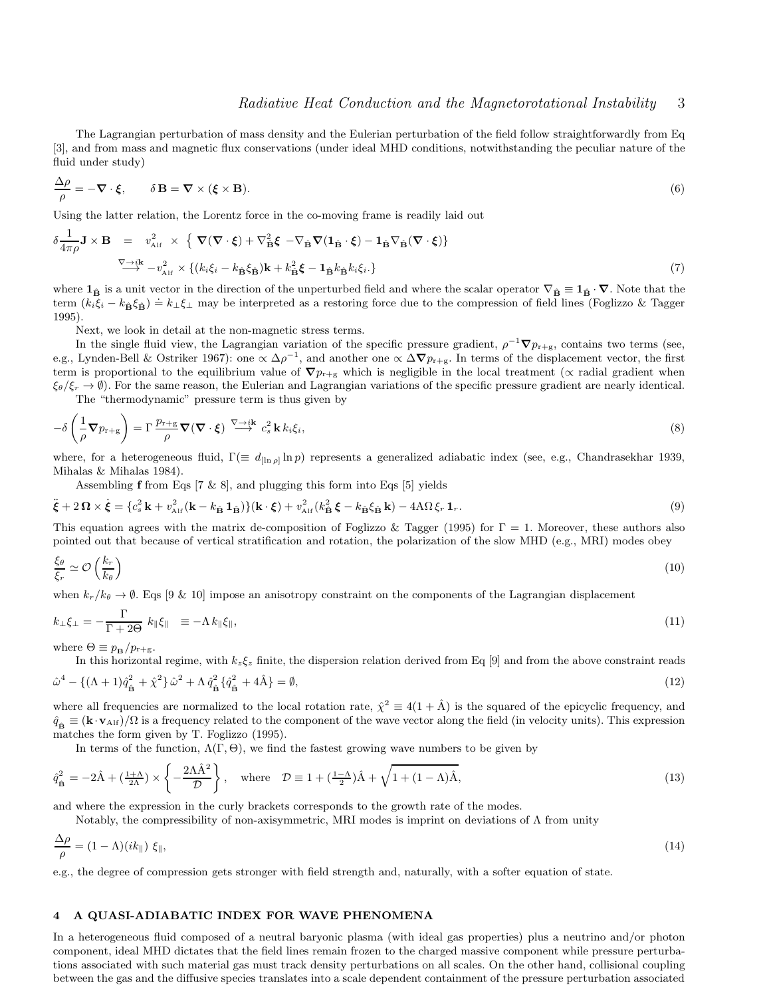The Lagrangian perturbation of mass density and the Eulerian perturbation of the field follow straightforwardly from Eq [3], and from mass and magnetic flux conservations (under ideal MHD conditions, notwithstanding the peculiar nature of the fluid under study)

$$
\frac{\Delta \rho}{\rho} = -\nabla \cdot \xi, \qquad \delta \mathbf{B} = \nabla \times (\xi \times \mathbf{B}). \tag{6}
$$

Using the latter relation, the Lorentz force in the co-moving frame is readily laid out

$$
\delta \frac{1}{4\pi \rho} \mathbf{J} \times \mathbf{B} = v_{\text{Alf}}^2 \times \left\{ \nabla (\nabla \cdot \xi) + \nabla_{\hat{\mathbf{B}}}^2 \xi - \nabla_{\hat{\mathbf{B}}} \nabla (1_{\hat{\mathbf{B}}} \cdot \xi) - 1_{\hat{\mathbf{B}}} \nabla_{\hat{\mathbf{B}}} (\nabla \cdot \xi) \right\}
$$
\n
$$
\xrightarrow{\nabla \to i\mathbf{k}} - v_{\text{Alf}}^2 \times \left\{ (k_i \xi_i - k_{\hat{\mathbf{B}}} \xi_{\hat{\mathbf{B}}}) \mathbf{k} + k_{\hat{\mathbf{B}}}^2 \xi - 1_{\hat{\mathbf{B}}} k_{\hat{\mathbf{B}}} k_i \xi_i \right\} \tag{7}
$$

where  $1_{\hat{B}}$  is a unit vector in the direction of the unperturbed field and where the scalar operator  $\nabla_{\hat{B}} \equiv 1_{\hat{B}} \cdot \nabla$ . Note that the term  $(k_i\xi_i - k_{\hat{\mathbf{B}}}\xi_{\hat{\mathbf{B}}}) = k_{\perp}\xi_{\perp}$  may be interpreted as a restoring force due to the compression of field lines (Foglizzo & Tagger 1995).

Next, we look in detail at the non-magnetic stress terms.

In the single fluid view, the Lagrangian variation of the specific pressure gradient,  $\rho^{-1}\nabla p_{r+g}$ , contains two terms (see, e.g., Lynden-Bell & Ostriker 1967): one  $\propto \Delta \rho^{-1}$ , and another one  $\propto \Delta \nabla p_{r+g}$ . In terms of the displacement vector, the first term is proportional to the equilibrium value of  $\nabla p_{r+g}$  which is negligible in the local treatment ( $\propto$  radial gradient when  $\xi_{\theta}/\xi_r \to \theta$ ). For the same reason, the Eulerian and Lagrangian variations of the specific pressure gradient are nearly identical.

The "thermodynamic" pressure term is thus given by

$$
-\delta\left(\frac{1}{\rho}\nabla p_{\mathbf{r}+\mathbf{g}}\right) = \Gamma\frac{p_{\mathbf{r}+\mathbf{g}}}{\rho}\nabla(\nabla\cdot\boldsymbol{\xi}) \stackrel{\nabla\to i\mathbf{k}}{\longrightarrow} c_s^2 \mathbf{k} k_i \xi_i,
$$
\n(8)

where, for a heterogeneous fluid,  $\Gamma (\equiv d_{\left[\ln \rho\right]} \ln p)$  represents a generalized adiabatic index (see, e.g., Chandrasekhar 1939, Mihalas & Mihalas 1984).

Assembling **f** from Eqs  $[7 \& 8]$ , and plugging this form into Eqs  $[5]$  yields

$$
\ddot{\boldsymbol{\xi}} + 2\,\boldsymbol{\Omega} \times \dot{\boldsymbol{\xi}} = \{c_s^2 \,\mathbf{k} + v_{\text{Alf}}^2 \,(\mathbf{k} - k_{\hat{\mathbf{B}}}\,\mathbf{1}_{\hat{\mathbf{B}}})\} (\mathbf{k} \cdot \boldsymbol{\xi}) + v_{\text{Alf}}^2 \,(\boldsymbol{k}_{\hat{\mathbf{B}}}^2 \,\boldsymbol{\xi} - k_{\hat{\mathbf{B}}} \xi_{\hat{\mathbf{B}}} \,\mathbf{k}) - 4A\,\Omega \,\xi_r \,\mathbf{1}_r. \tag{9}
$$

This equation agrees with the matrix de-composition of Foglizzo & Tagger (1995) for  $\Gamma = 1$ . Moreover, these authors also pointed out that because of vertical stratification and rotation, the polarization of the slow MHD (e.g., MRI) modes obey

$$
\frac{\xi_{\theta}}{\xi_{r}} \simeq \mathcal{O}\left(\frac{k_{r}}{k_{\theta}}\right) \tag{10}
$$

when  $k_r/k_\theta \to \emptyset$ . Eqs [9 & 10] impose an anisotropy constraint on the components of the Lagrangian displacement

$$
k_{\perp}\xi_{\perp} = -\frac{\Gamma}{\Gamma + 2\Theta} k_{\parallel}\xi_{\parallel} \equiv -\Lambda k_{\parallel}\xi_{\parallel},\tag{11}
$$

where  $\Theta \equiv p_{\rm B} / p_{\rm r+g}$ .

In this horizontal regime, with  $k_z\xi_z$  finite, the dispersion relation derived from Eq [9] and from the above constraint reads

$$
\hat{\omega}^4 - \{ (\Lambda + 1)\hat{q}_{\hat{\mathbf{B}}}^2 + \hat{\chi}^2 \} \hat{\omega}^2 + \Lambda \hat{q}_{\hat{\mathbf{B}}}^2 \{ \hat{q}_{\hat{\mathbf{B}}}^2 + 4\hat{\mathbf{A}} \} = \emptyset,
$$
\n(12)

where all frequencies are normalized to the local rotation rate,  $\hat{\chi}^2 \equiv 4(1 + \hat{A})$  is the squared of the epicyclic frequency, and  $\hat{q}_{\hat{\mathbf{p}}} \equiv (\mathbf{k} \cdot \mathbf{v}_{\text{Alf}})/\Omega$  is a frequency related to the component of the wave vector along the field (in velocity units). This expression matches the form given by T. Foglizzo (1995).

In terms of the function,  $\Lambda(\Gamma, \Theta)$ , we find the fastest growing wave numbers to be given by

$$
\hat{q}_{\hat{\mathbf{B}}}^2 = -2\hat{\mathbf{A}} + \left(\frac{1+\Lambda}{2\Lambda}\right) \times \left\{-\frac{2\Lambda\hat{\mathbf{A}}^2}{\mathcal{D}}\right\}, \quad \text{where} \quad \mathcal{D} \equiv 1 + \left(\frac{1-\Lambda}{2}\right)\hat{\mathbf{A}} + \sqrt{1 + (1-\Lambda)\hat{\mathbf{A}}},\tag{13}
$$

and where the expression in the curly brackets corresponds to the growth rate of the modes.

Notably, the compressibility of non-axisymmetric, MRI modes is imprint on deviations of Λ from unity

$$
\frac{\Delta \rho}{\rho} = (1 - \Lambda)(ik_{\parallel}) \xi_{\parallel},\tag{14}
$$

e.g., the degree of compression gets stronger with field strength and, naturally, with a softer equation of state.

## 4 A QUASI-ADIABATIC INDEX FOR WAVE PHENOMENA

In a heterogeneous fluid composed of a neutral baryonic plasma (with ideal gas properties) plus a neutrino and/or photon component, ideal MHD dictates that the field lines remain frozen to the charged massive component while pressure perturbations associated with such material gas must track density perturbations on all scales. On the other hand, collisional coupling between the gas and the diffusive species translates into a scale dependent containment of the pressure perturbation associated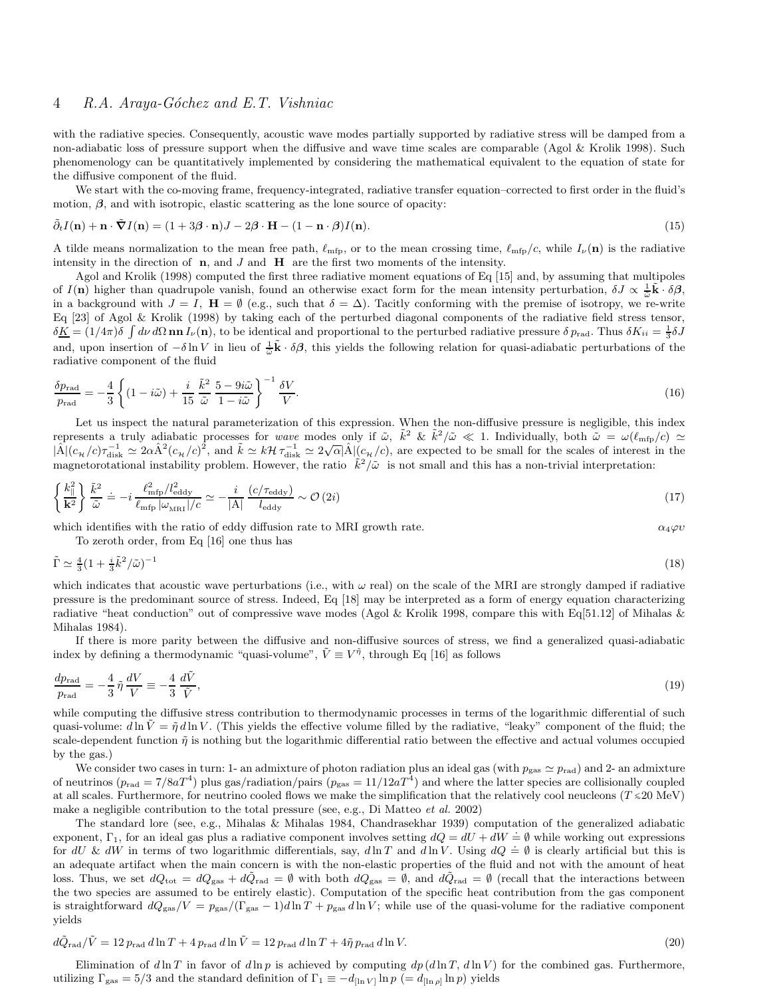# 4 R.A. Araya-Góchez and E.T. Vishniac

with the radiative species. Consequently, acoustic wave modes partially supported by radiative stress will be damped from a non-adiabatic loss of pressure support when the diffusive and wave time scales are comparable (Agol & Krolik 1998). Such phenomenology can be quantitatively implemented by considering the mathematical equivalent to the equation of state for the diffusive component of the fluid.

We start with the co-moving frame, frequency-integrated, radiative transfer equation–corrected to first order in the fluid's motion,  $\beta$ , and with isotropic, elastic scattering as the lone source of opacity:

$$
\tilde{\partial}_t I(\mathbf{n}) + \mathbf{n} \cdot \tilde{\nabla} I(\mathbf{n}) = (1 + 3\beta \cdot \mathbf{n})J - 2\beta \cdot \mathbf{H} - (1 - \mathbf{n} \cdot \beta)I(\mathbf{n}).
$$
\n(15)

A tilde means normalization to the mean free path,  $\ell_{\rm mfp}$ , or to the mean crossing time,  $\ell_{\rm mfp}/c$ , while  $I_{\nu}(\mathbf{n})$  is the radiative intensity in the direction of  $n$ , and  $J$  and  $H$  are the first two moments of the intensity.

Agol and Krolik (1998) computed the first three radiative moment equations of Eq [15] and, by assuming that multipoles of  $I(n)$  higher than quadrupole vanish, found an otherwise exact form for the mean intensity perturbation,  $\delta J \propto \frac{1}{\tilde{\omega}} \tilde{\mathbf{k}} \cdot \delta \beta$ , in a background with  $J = I$ ,  $\mathbf{H} = \emptyset$  (e.g., such that  $\delta = \Delta$ ). Tacitly conforming with the premise of isotropy, we re-write Eq [23] of Agol & Krolik (1998) by taking each of the perturbed diagonal components of the radiative field stress tensor,  $\delta \underline{K} = (1/4\pi)\delta \int d\nu d\Omega \textbf{nn} I_{\nu}(\mathbf{n})$ , to be identical and proportional to the perturbed radiative pressure  $\delta p_{\text{rad}}$ . Thus  $\delta K_{ii} = \frac{1}{3}\delta J$ and, upon insertion of  $-\delta \ln V$  in lieu of  $\frac{1}{\tilde{\omega}} \tilde{\mathbf{k}} \cdot \delta \beta$ , this yields the following relation for quasi-adiabatic perturbations of the radiative component of the fluid

$$
\frac{\delta p_{\text{rad}}}{p_{\text{rad}}} = -\frac{4}{3} \left\{ (1 - i\tilde{\omega}) + \frac{i}{15} \frac{\tilde{k}^2}{\tilde{\omega}} \frac{5 - 9i\tilde{\omega}}{1 - i\tilde{\omega}} \right\}^{-1} \frac{\delta V}{V}.
$$
\n(16)

Let us inspect the natural parameterization of this expression. When the non-diffusive pressure is negligible, this index represents a truly adiabatic processes for wave modes only if  $\tilde{\omega}$ ,  $\tilde{k}^2 \& \tilde{k}^2/\tilde{\omega} \ll 1$ . Individually, both  $\tilde{\omega} = \omega(\ell_{\rm mfp}/c) \simeq$  $|\hat{A}| (c_{\mathcal{H}}/c) \tau_{\text{disk}}^{-1} \simeq 2 \alpha \hat{A}^2 (c_{\mathcal{H}}/c)^2$ , and  $\tilde{k} \simeq k \mathcal{H} \tau_{\text{disk}}^{-1} \simeq 2 \sqrt{\alpha} |\hat{A}| (c_{\mathcal{H}}/c)$ , are expected to be small for the scales of interest in the magnetorotational instability problem. However, the ratio  $\tilde{k}^2/\tilde{\omega}$  is not small and this has a non-trivial interpretation:

$$
\left\{ \frac{k_{\parallel}^2}{\mathbf{k}^2} \right\} \frac{\tilde{k}^2}{\tilde{\omega}} = -i \frac{\ell_{\rm mfp}^2 / l_{\rm eddy}^2}{\ell_{\rm mfp} |\omega_{\rm MRI}| / c} \simeq -\frac{i}{|\mathbf{A}|} \frac{(c/\tau_{\rm eddy})}{l_{\rm eddy}} \sim \mathcal{O}\left(2i\right)
$$
\n(17)

which identifies with the ratio of eddy diffusion rate to MRI growth rate.  $\alpha_4\varphi\upsilon$ 

To zeroth order, from Eq [16] one thus has

$$
\tilde{\Gamma} \simeq \frac{4}{3} (1 + \frac{i}{3} \tilde{k}^2 / \tilde{\omega})^{-1} \tag{18}
$$

which indicates that acoustic wave perturbations (i.e., with  $\omega$  real) on the scale of the MRI are strongly damped if radiative pressure is the predominant source of stress. Indeed, Eq [18] may be interpreted as a form of energy equation characterizing radiative "heat conduction" out of compressive wave modes (Agol & Krolik 1998, compare this with Eq[51.12] of Mihalas & Mihalas 1984).

If there is more parity between the diffusive and non-diffusive sources of stress, we find a generalized quasi-adiabatic index by defining a thermodynamic "quasi-volume",  $\tilde{V} \equiv V^{\tilde{\eta}}$ , through Eq [16] as follows

$$
\frac{dp_{\text{rad}}}{p_{\text{rad}}} = -\frac{4}{3} \tilde{\eta} \frac{dV}{V} \equiv -\frac{4}{3} \frac{d\tilde{V}}{\tilde{V}},\tag{19}
$$

while computing the diffusive stress contribution to thermodynamic processes in terms of the logarithmic differential of such quasi-volume:  $d \ln V = \tilde{\eta} d \ln V$ . (This yields the effective volume filled by the radiative, "leaky" component of the fluid; the scale-dependent function  $\tilde{\eta}$  is nothing but the logarithmic differential ratio between the effective and actual volumes occupied by the gas.)

We consider two cases in turn: 1- an admixture of photon radiation plus an ideal gas (with  $p_{\text{gas}} \simeq p_{\text{rad}}$ ) and 2- an admixture of neutrinos ( $p_{\text{rad}} = 7/8aT^4$ ) plus gas/radiation/pairs ( $p_{\text{gas}} = 11/12aT^4$ ) and where the latter species are collisionally coupled at all scales. Furthermore, for neutrino cooled flows we make the simplification that the relatively cool neucleons (T  $\approx$  20 MeV) make a negligible contribution to the total pressure (see, e.g., Di Matteo et al. 2002)

The standard lore (see, e.g., Mihalas & Mihalas 1984, Chandrasekhar 1939) computation of the generalized adiabatic exponent,  $\Gamma_1$ , for an ideal gas plus a radiative component involves setting  $dQ = dU + dW = \emptyset$  while working out expressions for dU & dW in terms of two logarithmic differentials, say, d ln T and d ln V. Using  $dQ = \emptyset$  is clearly artificial but this is an adequate artifact when the main concern is with the non-elastic properties of the fluid and not with the amount of heat loss. Thus, we set  $dQ_{\text{tot}} = dQ_{\text{gas}} + dQ_{\text{rad}} = \emptyset$  with both  $dQ_{\text{gas}} = \emptyset$ , and  $dQ_{\text{rad}} = \emptyset$  (recall that the interactions between the two species are assumed to be entirely elastic). Computation of the specific heat contribution from the gas component is straightforward  $dQ_{\rm gas}/V = p_{\rm gas}/(\Gamma_{\rm gas} - 1)d\ln T + p_{\rm gas}d\ln V$ ; while use of the quasi-volume for the radiative component yields

$$
d\tilde{Q}_{\text{rad}}/\tilde{V} = 12 p_{\text{rad}} \, d\ln T + 4 p_{\text{rad}} \, d\ln \tilde{V} = 12 p_{\text{rad}} \, d\ln T + 4\tilde{\eta} p_{\text{rad}} \, d\ln V. \tag{20}
$$

Elimination of  $d \ln T$  in favor of  $d \ln p$  is achieved by computing  $dp (d \ln T, d \ln V)$  for the combined gas. Furthermore, utilizing  $\Gamma_{\rm gas} = 5/3$  and the standard definition of  $\Gamma_1 \equiv -d_{\left[\ln V\right]} \ln p \left(= d_{\left[\ln \rho\right]} \ln p\right)$  yields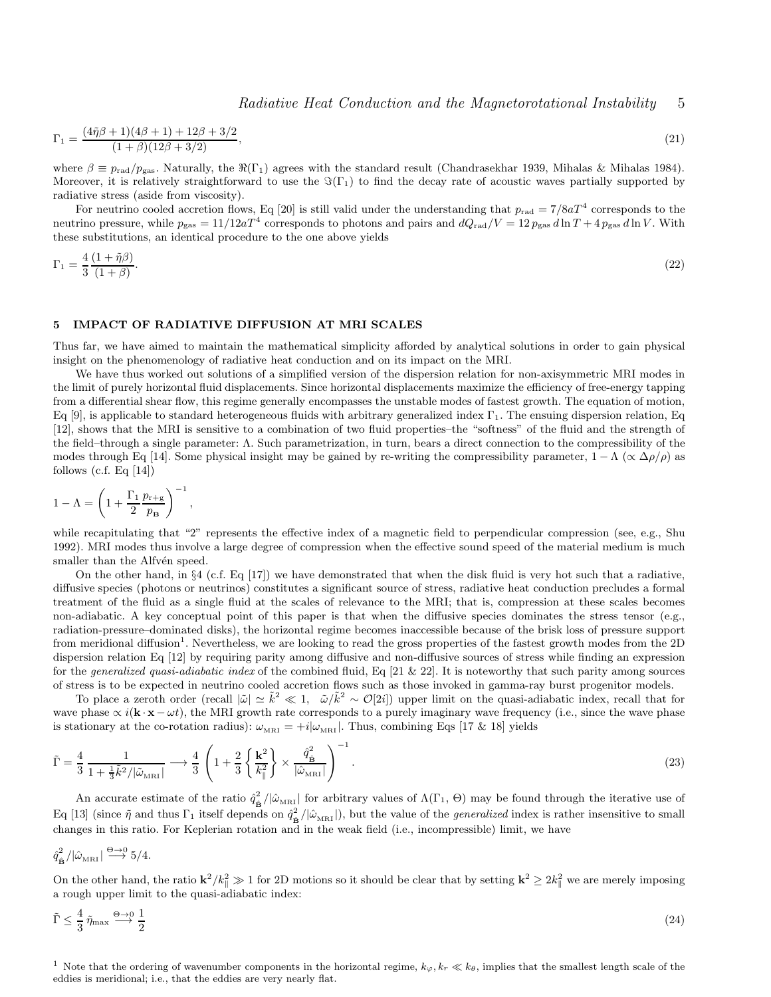$$
\Gamma_1 = \frac{(4\tilde{\eta}\beta + 1)(4\beta + 1) + 12\beta + 3/2}{(1+\beta)(12\beta + 3/2)},\tag{21}
$$

where  $\beta \equiv p_{\text{rad}}/p_{\text{gas}}$ . Naturally, the  $\Re(\Gamma_1)$  agrees with the standard result (Chandrasekhar 1939, Mihalas & Mihalas 1984). Moreover, it is relatively straightforward to use the  $\Im(\Gamma_1)$  to find the decay rate of acoustic waves partially supported by radiative stress (aside from viscosity).

For neutrino cooled accretion flows, Eq [20] is still valid under the understanding that  $p_{rad} = 7/8aT^4$  corresponds to the neutrino pressure, while  $p_{\text{gas}} = 11/12aT^4$  corresponds to photons and pairs and  $dQ_{\text{rad}}/V = 12 p_{\text{gas}} d \ln T + 4 p_{\text{gas}} d \ln V$ . With these substitutions, an identical procedure to the one above yields

$$
\Gamma_1 = \frac{4}{3} \frac{(1 + \tilde{\eta}\beta)}{(1 + \beta)}.\tag{22}
$$

#### 5 IMPACT OF RADIATIVE DIFFUSION AT MRI SCALES

Thus far, we have aimed to maintain the mathematical simplicity afforded by analytical solutions in order to gain physical insight on the phenomenology of radiative heat conduction and on its impact on the MRI.

We have thus worked out solutions of a simplified version of the dispersion relation for non-axisymmetric MRI modes in the limit of purely horizontal fluid displacements. Since horizontal displacements maximize the efficiency of free-energy tapping from a differential shear flow, this regime generally encompasses the unstable modes of fastest growth. The equation of motion, Eq [9], is applicable to standard heterogeneous fluids with arbitrary generalized index  $\Gamma_1$ . The ensuing dispersion relation, Eq [12], shows that the MRI is sensitive to a combination of two fluid properties–the "softness" of the fluid and the strength of the field–through a single parameter: Λ. Such parametrization, in turn, bears a direct connection to the compressibility of the modes through Eq [14]. Some physical insight may be gained by re-writing the compressibility parameter,  $1 - \Lambda$  ( $\propto \Delta \rho/\rho$ ) as follows (c.f. Eq  $[14]$ )

$$
1 - \Lambda = \left(1 + \frac{\Gamma_1}{2} \frac{p_{r+g}}{p_{\mathbf{B}}}\right)^{-1}
$$

,

while recapitulating that "2" represents the effective index of a magnetic field to perpendicular compression (see, e.g., Shu 1992). MRI modes thus involve a large degree of compression when the effective sound speed of the material medium is much smaller than the Alfvén speed.

On the other hand, in §4 (c.f. Eq [17]) we have demonstrated that when the disk fluid is very hot such that a radiative, diffusive species (photons or neutrinos) constitutes a significant source of stress, radiative heat conduction precludes a formal treatment of the fluid as a single fluid at the scales of relevance to the MRI; that is, compression at these scales becomes non-adiabatic. A key conceptual point of this paper is that when the diffusive species dominates the stress tensor (e.g., radiation-pressure–dominated disks), the horizontal regime becomes inaccessible because of the brisk loss of pressure support from meridional diffusion<sup>1</sup>. Nevertheless, we are looking to read the gross properties of the fastest growth modes from the 2D dispersion relation Eq [12] by requiring parity among diffusive and non-diffusive sources of stress while finding an expression for the generalized quasi-adiabatic index of the combined fluid, Eq  $[21 \& 22]$ . It is noteworthy that such parity among sources of stress is to be expected in neutrino cooled accretion flows such as those invoked in gamma-ray burst progenitor models.

To place a zeroth order (recall  $|\tilde{\omega}| \simeq \tilde{k}^2 \ll 1$ ,  $\tilde{\omega}/\tilde{k}^2 \sim \mathcal{O}[2i]$ ) upper limit on the quasi-adiabatic index, recall that for wave phase  $\propto i(\mathbf{k} \cdot \mathbf{x} - \omega t)$ , the MRI growth rate corresponds to a purely imaginary wave frequency (i.e., since the wave phase is stationary at the co-rotation radius):  $\omega_{\text{MRI}} = +i|\omega_{\text{MRI}}|$ . Thus, combining Eqs [17 & 18] yields

$$
\tilde{\Gamma} = \frac{4}{3} \frac{1}{1 + \frac{1}{3} \tilde{k}^2 / |\tilde{\omega}_{\text{MRI}}|} \longrightarrow \frac{4}{3} \left( 1 + \frac{2}{3} \left\{ \frac{\mathbf{k}^2}{k_{\parallel}^2} \right\} \times \frac{\hat{q}_{\hat{\mathbf{B}}}^2}{|\hat{\omega}_{\text{MRI}}|} \right)^{-1} .
$$
\n(23)

An accurate estimate of the ratio  $\hat{q}_{\hat{B}}^2/|\hat{\omega}_{MRI}|$  for arbitrary values of  $\Lambda(\Gamma_1, \Theta)$  may be found through the iterative use of Eq [13] (since  $\tilde{\eta}$  and thus  $\Gamma_1$  itself depends on  $\hat{q}_{\hat{B}}^2/|\hat{\omega}_{\text{MRI}}|$ ), but the value of the *generalized* index is rather insensitive to small changes in this ratio. For Keplerian rotation and in the weak field (i.e., incompressible) limit, we have

$$
\hat{q}_{\hat{\mathbf{B}}}^2/|\hat{\omega}_{\mathrm{MRI}}| \stackrel{\Theta \to 0}{\longrightarrow} 5/4.
$$

On the other hand, the ratio  $k^2/k_{\parallel}^2 \gg 1$  for 2D motions so it should be clear that by setting  $k^2 \geq 2k_{\parallel}^2$  we are merely imposing a rough upper limit to the quasi-adiabatic index:

$$
\tilde{\Gamma} \le \frac{4}{3} \tilde{\eta}_{\text{max}} \stackrel{\Theta \to 0}{\longrightarrow} \frac{1}{2} \tag{24}
$$

<sup>1</sup> Note that the ordering of wavenumber components in the horizontal regime,  $k_{\varphi}, k_r \ll k_{\theta}$ , implies that the smallest length scale of the eddies is meridional; i.e., that the eddies are very nearly flat.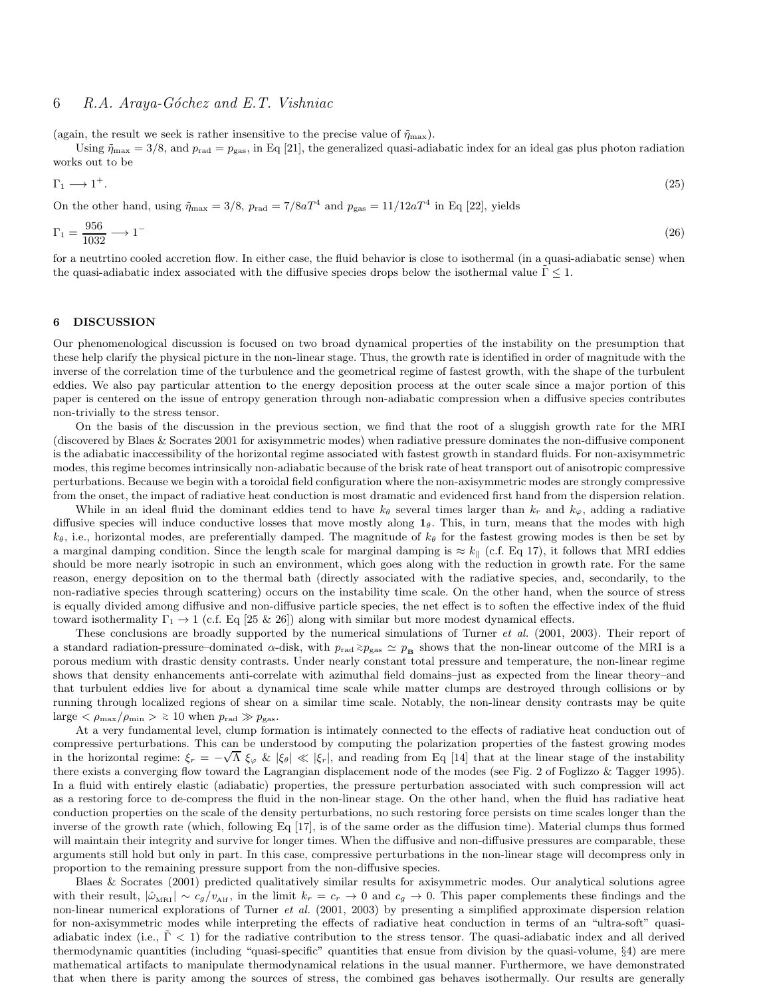# 6 R.A. Araya-Góchez and E.T. Vishniac

(again, the result we seek is rather insensitive to the precise value of  $\tilde{\eta}_{\text{max}}$ ).

Using  $\tilde{\eta}_{\text{max}} = 3/8$ , and  $p_{\text{rad}} = p_{\text{gas}}$ , in Eq [21], the generalized quasi-adiabatic index for an ideal gas plus photon radiation works out to be

$$
\Gamma_1 \longrightarrow 1^+.\tag{25}
$$

On the other hand, using  $\tilde{\eta}_{\text{max}} = 3/8$ ,  $p_{\text{rad}} = 7/8aT^4$  and  $p_{\text{gas}} = 11/12aT^4$  in Eq [22], yields

$$
\Gamma_1 = \frac{956}{1032} \longrightarrow 1^- \tag{26}
$$

for a neutrtino cooled accretion flow. In either case, the fluid behavior is close to isothermal (in a quasi-adiabatic sense) when the quasi-adiabatic index associated with the diffusive species drops below the isothermal value  $\Gamma$  < 1.

#### 6 DISCUSSION

Our phenomenological discussion is focused on two broad dynamical properties of the instability on the presumption that these help clarify the physical picture in the non-linear stage. Thus, the growth rate is identified in order of magnitude with the inverse of the correlation time of the turbulence and the geometrical regime of fastest growth, with the shape of the turbulent eddies. We also pay particular attention to the energy deposition process at the outer scale since a major portion of this paper is centered on the issue of entropy generation through non-adiabatic compression when a diffusive species contributes non-trivially to the stress tensor.

On the basis of the discussion in the previous section, we find that the root of a sluggish growth rate for the MRI (discovered by Blaes & Socrates 2001 for axisymmetric modes) when radiative pressure dominates the non-diffusive component is the adiabatic inaccessibility of the horizontal regime associated with fastest growth in standard fluids. For non-axisymmetric modes, this regime becomes intrinsically non-adiabatic because of the brisk rate of heat transport out of anisotropic compressive perturbations. Because we begin with a toroidal field configuration where the non-axisymmetric modes are strongly compressive from the onset, the impact of radiative heat conduction is most dramatic and evidenced first hand from the dispersion relation.

While in an ideal fluid the dominant eddies tend to have  $k_{\theta}$  several times larger than  $k_r$  and  $k_{\varphi}$ , adding a radiative diffusive species will induce conductive losses that move mostly along  $1<sub>\theta</sub>$ . This, in turn, means that the modes with high  $k_{\theta}$ , i.e., horizontal modes, are preferentially damped. The magnitude of  $k_{\theta}$  for the fastest growing modes is then be set by a marginal damping condition. Since the length scale for marginal damping is  $\approx k_{\parallel}$  (c.f. Eq 17), it follows that MRI eddies should be more nearly isotropic in such an environment, which goes along with the reduction in growth rate. For the same reason, energy deposition on to the thermal bath (directly associated with the radiative species, and, secondarily, to the non-radiative species through scattering) occurs on the instability time scale. On the other hand, when the source of stress is equally divided among diffusive and non-diffusive particle species, the net effect is to soften the effective index of the fluid toward isothermality  $\Gamma_1 \rightarrow 1$  (c.f. Eq [25 & 26]) along with similar but more modest dynamical effects.

These conclusions are broadly supported by the numerical simulations of Turner *et al.* (2001, 2003). Their report of a standard radiation-pressure–dominated  $\alpha$ -disk, with  $p_{rad} \ge p_{gas} \simeq p_B$  shows that the non-linear outcome of the MRI is a porous medium with drastic density contrasts. Under nearly constant total pressure and temperature, the non-linear regime shows that density enhancements anti-correlate with azimuthal field domains–just as expected from the linear theory–and that turbulent eddies live for about a dynamical time scale while matter clumps are destroyed through collisions or by running through localized regions of shear on a similar time scale. Notably, the non-linear density contrasts may be quite  $\text{large} < \rho_{\text{max}}/\rho_{\text{min}} > \varepsilon 10 \text{ when } p_{\text{rad}} \gg p_{\text{gas}}.$ 

At a very fundamental level, clump formation is intimately connected to the effects of radiative heat conduction out of compressive perturbations. This can be understood by computing the polarization properties of the fastest growing modes in the horizontal regime:  $\xi_r = -\sqrt{\Lambda} \xi_\varphi \& |\xi_\theta| \ll |\xi_r|$ , and reading from Eq [14] that at the linear stage of the instability there exists a converging flow toward the Lagrangian displacement node of the modes (see Fig. 2 of Foglizzo & Tagger 1995). In a fluid with entirely elastic (adiabatic) properties, the pressure perturbation associated with such compression will act as a restoring force to de-compress the fluid in the non-linear stage. On the other hand, when the fluid has radiative heat conduction properties on the scale of the density perturbations, no such restoring force persists on time scales longer than the inverse of the growth rate (which, following Eq [17], is of the same order as the diffusion time). Material clumps thus formed will maintain their integrity and survive for longer times. When the diffusive and non-diffusive pressures are comparable, these arguments still hold but only in part. In this case, compressive perturbations in the non-linear stage will decompress only in proportion to the remaining pressure support from the non-diffusive species.

Blaes & Socrates (2001) predicted qualitatively similar results for axisymmetric modes. Our analytical solutions agree with their result,  $|\hat{\omega}_{MRI}| \sim c_g/v_{Alf}$ , in the limit  $k_r = c_r \to 0$  and  $c_g \to 0$ . This paper complements these findings and the non-linear numerical explorations of Turner et al. (2001, 2003) by presenting a simplified approximate dispersion relation for non-axisymmetric modes while interpreting the effects of radiative heat conduction in terms of an "ultra-soft" quasiadiabatic index (i.e.,  $\Gamma$  < 1) for the radiative contribution to the stress tensor. The quasi-adiabatic index and all derived thermodynamic quantities (including "quasi-specific" quantities that ensue from division by the quasi-volume, §4) are mere mathematical artifacts to manipulate thermodynamical relations in the usual manner. Furthermore, we have demonstrated that when there is parity among the sources of stress, the combined gas behaves isothermally. Our results are generally